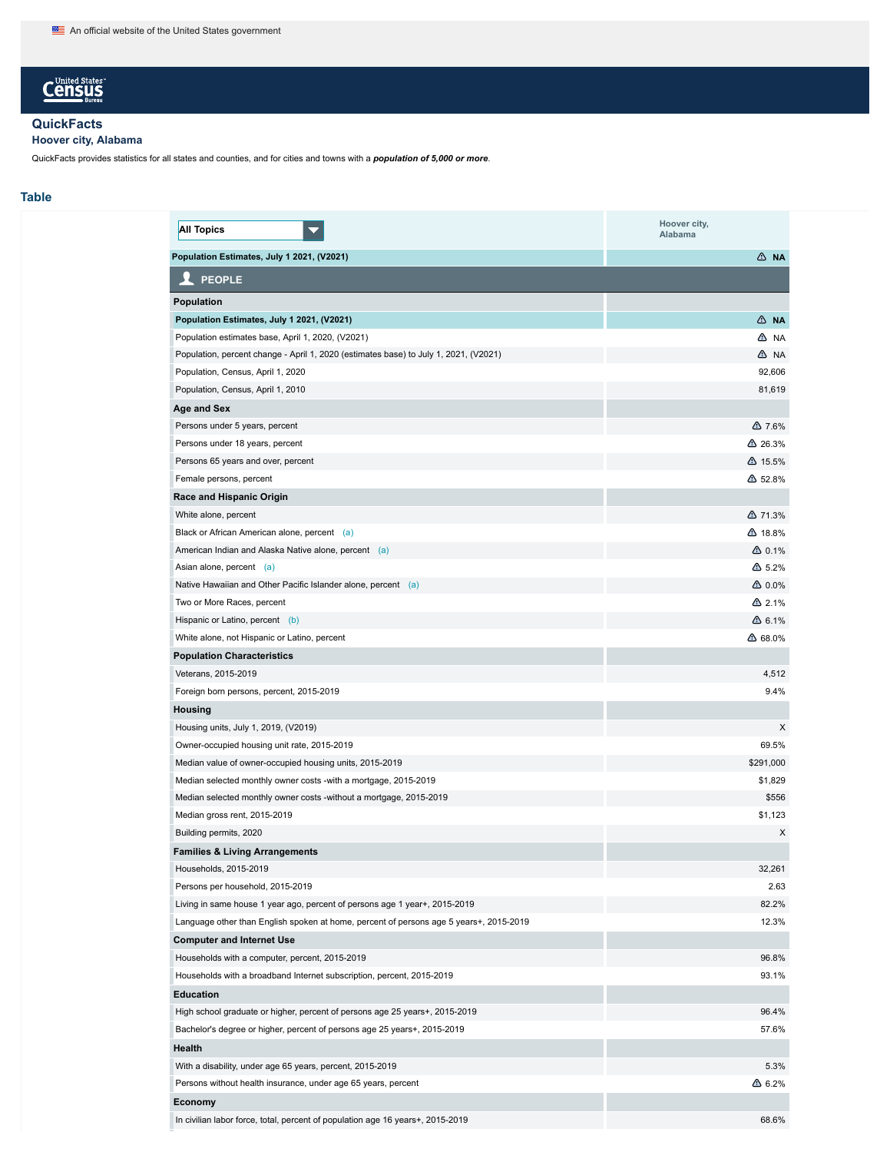# **Census**

## **QuickFacts**

**Hoover city, Alabama**

QuickFacts provides statistics for all states and counties, and for cities and towns with a *population of 5,000 or more*.

## **Table**

| Population Estimates, July 1 2021, (V2021)<br>∆ NA<br><b>PEOPLE</b><br>Population<br>Population Estimates, July 1 2021, (V2021)<br>∆ NA<br>Population estimates base, April 1, 2020, (V2021)<br>A NA<br>Population, percent change - April 1, 2020 (estimates base) to July 1, 2021, (V2021)<br>A NA<br>92,606<br>Population, Census, April 1, 2020<br>81,619<br>Population, Census, April 1, 2010<br>Age and Sex<br>Persons under 5 years, percent<br>$\triangle$ 7.6%<br>△ 26.3%<br>Persons under 18 years, percent<br>Persons 65 years and over, percent<br>$\triangle$ 15.5%<br>Female persons, percent<br>△ 52.8%<br>Race and Hispanic Origin<br>△ 71.3%<br>White alone, percent<br>Black or African American alone, percent (a)<br>△ 18.8%<br>$\triangle$ 0.1%<br>American Indian and Alaska Native alone, percent (a)<br>$\triangle$ 5.2%<br>Asian alone, percent (a)<br>Native Hawaiian and Other Pacific Islander alone, percent (a)<br>$\triangle$ 0.0%<br>Two or More Races, percent<br>$\triangle$ 2.1%<br>Hispanic or Latino, percent (b)<br>$\triangle$ 6.1%<br>White alone, not Hispanic or Latino, percent<br>△ 68.0%<br><b>Population Characteristics</b><br>4,512<br>Veterans, 2015-2019<br>9.4%<br>Foreign born persons, percent, 2015-2019<br>Housing<br>X<br>Housing units, July 1, 2019, (V2019)<br>69.5%<br>Owner-occupied housing unit rate, 2015-2019<br>\$291,000<br>Median value of owner-occupied housing units, 2015-2019<br>\$1,829<br>Median selected monthly owner costs -with a mortgage, 2015-2019<br>\$556<br>Median selected monthly owner costs -without a mortgage, 2015-2019<br>\$1,123<br>Median gross rent, 2015-2019<br>X<br>Building permits, 2020<br><b>Families &amp; Living Arrangements</b><br>32,261<br>Households, 2015-2019<br>2.63<br>Persons per household, 2015-2019<br>82.2%<br>Living in same house 1 year ago, percent of persons age 1 year+, 2015-2019<br>12.3%<br>Language other than English spoken at home, percent of persons age 5 years+, 2015-2019<br><b>Computer and Internet Use</b><br>96.8%<br>Households with a computer, percent, 2015-2019<br>93.1%<br>Households with a broadband Internet subscription, percent, 2015-2019<br><b>Education</b><br>96.4%<br>High school graduate or higher, percent of persons age 25 years+, 2015-2019<br>Bachelor's degree or higher, percent of persons age 25 years+, 2015-2019<br>57.6%<br>Health<br>5.3%<br>With a disability, under age 65 years, percent, 2015-2019<br>Persons without health insurance, under age 65 years, percent<br>$\Delta$ 6.2%<br>Economy | <b>All Topics</b> | Hoover city,<br>Alabama |
|-----------------------------------------------------------------------------------------------------------------------------------------------------------------------------------------------------------------------------------------------------------------------------------------------------------------------------------------------------------------------------------------------------------------------------------------------------------------------------------------------------------------------------------------------------------------------------------------------------------------------------------------------------------------------------------------------------------------------------------------------------------------------------------------------------------------------------------------------------------------------------------------------------------------------------------------------------------------------------------------------------------------------------------------------------------------------------------------------------------------------------------------------------------------------------------------------------------------------------------------------------------------------------------------------------------------------------------------------------------------------------------------------------------------------------------------------------------------------------------------------------------------------------------------------------------------------------------------------------------------------------------------------------------------------------------------------------------------------------------------------------------------------------------------------------------------------------------------------------------------------------------------------------------------------------------------------------------------------------------------------------------------------------------------------------------------------------------------------------------------------------------------------------------------------------------------------------------------------------------------------------------------------------------------------------------------------------------------------------------------------------------------------------------------------------------------------------------------------------------------------------------------------------------------------------------------------------------|-------------------|-------------------------|
|                                                                                                                                                                                                                                                                                                                                                                                                                                                                                                                                                                                                                                                                                                                                                                                                                                                                                                                                                                                                                                                                                                                                                                                                                                                                                                                                                                                                                                                                                                                                                                                                                                                                                                                                                                                                                                                                                                                                                                                                                                                                                                                                                                                                                                                                                                                                                                                                                                                                                                                                                                                   |                   |                         |
|                                                                                                                                                                                                                                                                                                                                                                                                                                                                                                                                                                                                                                                                                                                                                                                                                                                                                                                                                                                                                                                                                                                                                                                                                                                                                                                                                                                                                                                                                                                                                                                                                                                                                                                                                                                                                                                                                                                                                                                                                                                                                                                                                                                                                                                                                                                                                                                                                                                                                                                                                                                   |                   |                         |
|                                                                                                                                                                                                                                                                                                                                                                                                                                                                                                                                                                                                                                                                                                                                                                                                                                                                                                                                                                                                                                                                                                                                                                                                                                                                                                                                                                                                                                                                                                                                                                                                                                                                                                                                                                                                                                                                                                                                                                                                                                                                                                                                                                                                                                                                                                                                                                                                                                                                                                                                                                                   |                   |                         |
|                                                                                                                                                                                                                                                                                                                                                                                                                                                                                                                                                                                                                                                                                                                                                                                                                                                                                                                                                                                                                                                                                                                                                                                                                                                                                                                                                                                                                                                                                                                                                                                                                                                                                                                                                                                                                                                                                                                                                                                                                                                                                                                                                                                                                                                                                                                                                                                                                                                                                                                                                                                   |                   |                         |
|                                                                                                                                                                                                                                                                                                                                                                                                                                                                                                                                                                                                                                                                                                                                                                                                                                                                                                                                                                                                                                                                                                                                                                                                                                                                                                                                                                                                                                                                                                                                                                                                                                                                                                                                                                                                                                                                                                                                                                                                                                                                                                                                                                                                                                                                                                                                                                                                                                                                                                                                                                                   |                   |                         |
|                                                                                                                                                                                                                                                                                                                                                                                                                                                                                                                                                                                                                                                                                                                                                                                                                                                                                                                                                                                                                                                                                                                                                                                                                                                                                                                                                                                                                                                                                                                                                                                                                                                                                                                                                                                                                                                                                                                                                                                                                                                                                                                                                                                                                                                                                                                                                                                                                                                                                                                                                                                   |                   |                         |
|                                                                                                                                                                                                                                                                                                                                                                                                                                                                                                                                                                                                                                                                                                                                                                                                                                                                                                                                                                                                                                                                                                                                                                                                                                                                                                                                                                                                                                                                                                                                                                                                                                                                                                                                                                                                                                                                                                                                                                                                                                                                                                                                                                                                                                                                                                                                                                                                                                                                                                                                                                                   |                   |                         |
|                                                                                                                                                                                                                                                                                                                                                                                                                                                                                                                                                                                                                                                                                                                                                                                                                                                                                                                                                                                                                                                                                                                                                                                                                                                                                                                                                                                                                                                                                                                                                                                                                                                                                                                                                                                                                                                                                                                                                                                                                                                                                                                                                                                                                                                                                                                                                                                                                                                                                                                                                                                   |                   |                         |
|                                                                                                                                                                                                                                                                                                                                                                                                                                                                                                                                                                                                                                                                                                                                                                                                                                                                                                                                                                                                                                                                                                                                                                                                                                                                                                                                                                                                                                                                                                                                                                                                                                                                                                                                                                                                                                                                                                                                                                                                                                                                                                                                                                                                                                                                                                                                                                                                                                                                                                                                                                                   |                   |                         |
|                                                                                                                                                                                                                                                                                                                                                                                                                                                                                                                                                                                                                                                                                                                                                                                                                                                                                                                                                                                                                                                                                                                                                                                                                                                                                                                                                                                                                                                                                                                                                                                                                                                                                                                                                                                                                                                                                                                                                                                                                                                                                                                                                                                                                                                                                                                                                                                                                                                                                                                                                                                   |                   |                         |
|                                                                                                                                                                                                                                                                                                                                                                                                                                                                                                                                                                                                                                                                                                                                                                                                                                                                                                                                                                                                                                                                                                                                                                                                                                                                                                                                                                                                                                                                                                                                                                                                                                                                                                                                                                                                                                                                                                                                                                                                                                                                                                                                                                                                                                                                                                                                                                                                                                                                                                                                                                                   |                   |                         |
|                                                                                                                                                                                                                                                                                                                                                                                                                                                                                                                                                                                                                                                                                                                                                                                                                                                                                                                                                                                                                                                                                                                                                                                                                                                                                                                                                                                                                                                                                                                                                                                                                                                                                                                                                                                                                                                                                                                                                                                                                                                                                                                                                                                                                                                                                                                                                                                                                                                                                                                                                                                   |                   |                         |
|                                                                                                                                                                                                                                                                                                                                                                                                                                                                                                                                                                                                                                                                                                                                                                                                                                                                                                                                                                                                                                                                                                                                                                                                                                                                                                                                                                                                                                                                                                                                                                                                                                                                                                                                                                                                                                                                                                                                                                                                                                                                                                                                                                                                                                                                                                                                                                                                                                                                                                                                                                                   |                   |                         |
|                                                                                                                                                                                                                                                                                                                                                                                                                                                                                                                                                                                                                                                                                                                                                                                                                                                                                                                                                                                                                                                                                                                                                                                                                                                                                                                                                                                                                                                                                                                                                                                                                                                                                                                                                                                                                                                                                                                                                                                                                                                                                                                                                                                                                                                                                                                                                                                                                                                                                                                                                                                   |                   |                         |
|                                                                                                                                                                                                                                                                                                                                                                                                                                                                                                                                                                                                                                                                                                                                                                                                                                                                                                                                                                                                                                                                                                                                                                                                                                                                                                                                                                                                                                                                                                                                                                                                                                                                                                                                                                                                                                                                                                                                                                                                                                                                                                                                                                                                                                                                                                                                                                                                                                                                                                                                                                                   |                   |                         |
|                                                                                                                                                                                                                                                                                                                                                                                                                                                                                                                                                                                                                                                                                                                                                                                                                                                                                                                                                                                                                                                                                                                                                                                                                                                                                                                                                                                                                                                                                                                                                                                                                                                                                                                                                                                                                                                                                                                                                                                                                                                                                                                                                                                                                                                                                                                                                                                                                                                                                                                                                                                   |                   |                         |
|                                                                                                                                                                                                                                                                                                                                                                                                                                                                                                                                                                                                                                                                                                                                                                                                                                                                                                                                                                                                                                                                                                                                                                                                                                                                                                                                                                                                                                                                                                                                                                                                                                                                                                                                                                                                                                                                                                                                                                                                                                                                                                                                                                                                                                                                                                                                                                                                                                                                                                                                                                                   |                   |                         |
|                                                                                                                                                                                                                                                                                                                                                                                                                                                                                                                                                                                                                                                                                                                                                                                                                                                                                                                                                                                                                                                                                                                                                                                                                                                                                                                                                                                                                                                                                                                                                                                                                                                                                                                                                                                                                                                                                                                                                                                                                                                                                                                                                                                                                                                                                                                                                                                                                                                                                                                                                                                   |                   |                         |
|                                                                                                                                                                                                                                                                                                                                                                                                                                                                                                                                                                                                                                                                                                                                                                                                                                                                                                                                                                                                                                                                                                                                                                                                                                                                                                                                                                                                                                                                                                                                                                                                                                                                                                                                                                                                                                                                                                                                                                                                                                                                                                                                                                                                                                                                                                                                                                                                                                                                                                                                                                                   |                   |                         |
|                                                                                                                                                                                                                                                                                                                                                                                                                                                                                                                                                                                                                                                                                                                                                                                                                                                                                                                                                                                                                                                                                                                                                                                                                                                                                                                                                                                                                                                                                                                                                                                                                                                                                                                                                                                                                                                                                                                                                                                                                                                                                                                                                                                                                                                                                                                                                                                                                                                                                                                                                                                   |                   |                         |
|                                                                                                                                                                                                                                                                                                                                                                                                                                                                                                                                                                                                                                                                                                                                                                                                                                                                                                                                                                                                                                                                                                                                                                                                                                                                                                                                                                                                                                                                                                                                                                                                                                                                                                                                                                                                                                                                                                                                                                                                                                                                                                                                                                                                                                                                                                                                                                                                                                                                                                                                                                                   |                   |                         |
|                                                                                                                                                                                                                                                                                                                                                                                                                                                                                                                                                                                                                                                                                                                                                                                                                                                                                                                                                                                                                                                                                                                                                                                                                                                                                                                                                                                                                                                                                                                                                                                                                                                                                                                                                                                                                                                                                                                                                                                                                                                                                                                                                                                                                                                                                                                                                                                                                                                                                                                                                                                   |                   |                         |
|                                                                                                                                                                                                                                                                                                                                                                                                                                                                                                                                                                                                                                                                                                                                                                                                                                                                                                                                                                                                                                                                                                                                                                                                                                                                                                                                                                                                                                                                                                                                                                                                                                                                                                                                                                                                                                                                                                                                                                                                                                                                                                                                                                                                                                                                                                                                                                                                                                                                                                                                                                                   |                   |                         |
|                                                                                                                                                                                                                                                                                                                                                                                                                                                                                                                                                                                                                                                                                                                                                                                                                                                                                                                                                                                                                                                                                                                                                                                                                                                                                                                                                                                                                                                                                                                                                                                                                                                                                                                                                                                                                                                                                                                                                                                                                                                                                                                                                                                                                                                                                                                                                                                                                                                                                                                                                                                   |                   |                         |
|                                                                                                                                                                                                                                                                                                                                                                                                                                                                                                                                                                                                                                                                                                                                                                                                                                                                                                                                                                                                                                                                                                                                                                                                                                                                                                                                                                                                                                                                                                                                                                                                                                                                                                                                                                                                                                                                                                                                                                                                                                                                                                                                                                                                                                                                                                                                                                                                                                                                                                                                                                                   |                   |                         |
|                                                                                                                                                                                                                                                                                                                                                                                                                                                                                                                                                                                                                                                                                                                                                                                                                                                                                                                                                                                                                                                                                                                                                                                                                                                                                                                                                                                                                                                                                                                                                                                                                                                                                                                                                                                                                                                                                                                                                                                                                                                                                                                                                                                                                                                                                                                                                                                                                                                                                                                                                                                   |                   |                         |
|                                                                                                                                                                                                                                                                                                                                                                                                                                                                                                                                                                                                                                                                                                                                                                                                                                                                                                                                                                                                                                                                                                                                                                                                                                                                                                                                                                                                                                                                                                                                                                                                                                                                                                                                                                                                                                                                                                                                                                                                                                                                                                                                                                                                                                                                                                                                                                                                                                                                                                                                                                                   |                   |                         |
|                                                                                                                                                                                                                                                                                                                                                                                                                                                                                                                                                                                                                                                                                                                                                                                                                                                                                                                                                                                                                                                                                                                                                                                                                                                                                                                                                                                                                                                                                                                                                                                                                                                                                                                                                                                                                                                                                                                                                                                                                                                                                                                                                                                                                                                                                                                                                                                                                                                                                                                                                                                   |                   |                         |
|                                                                                                                                                                                                                                                                                                                                                                                                                                                                                                                                                                                                                                                                                                                                                                                                                                                                                                                                                                                                                                                                                                                                                                                                                                                                                                                                                                                                                                                                                                                                                                                                                                                                                                                                                                                                                                                                                                                                                                                                                                                                                                                                                                                                                                                                                                                                                                                                                                                                                                                                                                                   |                   |                         |
|                                                                                                                                                                                                                                                                                                                                                                                                                                                                                                                                                                                                                                                                                                                                                                                                                                                                                                                                                                                                                                                                                                                                                                                                                                                                                                                                                                                                                                                                                                                                                                                                                                                                                                                                                                                                                                                                                                                                                                                                                                                                                                                                                                                                                                                                                                                                                                                                                                                                                                                                                                                   |                   |                         |
|                                                                                                                                                                                                                                                                                                                                                                                                                                                                                                                                                                                                                                                                                                                                                                                                                                                                                                                                                                                                                                                                                                                                                                                                                                                                                                                                                                                                                                                                                                                                                                                                                                                                                                                                                                                                                                                                                                                                                                                                                                                                                                                                                                                                                                                                                                                                                                                                                                                                                                                                                                                   |                   |                         |
|                                                                                                                                                                                                                                                                                                                                                                                                                                                                                                                                                                                                                                                                                                                                                                                                                                                                                                                                                                                                                                                                                                                                                                                                                                                                                                                                                                                                                                                                                                                                                                                                                                                                                                                                                                                                                                                                                                                                                                                                                                                                                                                                                                                                                                                                                                                                                                                                                                                                                                                                                                                   |                   |                         |
|                                                                                                                                                                                                                                                                                                                                                                                                                                                                                                                                                                                                                                                                                                                                                                                                                                                                                                                                                                                                                                                                                                                                                                                                                                                                                                                                                                                                                                                                                                                                                                                                                                                                                                                                                                                                                                                                                                                                                                                                                                                                                                                                                                                                                                                                                                                                                                                                                                                                                                                                                                                   |                   |                         |
|                                                                                                                                                                                                                                                                                                                                                                                                                                                                                                                                                                                                                                                                                                                                                                                                                                                                                                                                                                                                                                                                                                                                                                                                                                                                                                                                                                                                                                                                                                                                                                                                                                                                                                                                                                                                                                                                                                                                                                                                                                                                                                                                                                                                                                                                                                                                                                                                                                                                                                                                                                                   |                   |                         |
|                                                                                                                                                                                                                                                                                                                                                                                                                                                                                                                                                                                                                                                                                                                                                                                                                                                                                                                                                                                                                                                                                                                                                                                                                                                                                                                                                                                                                                                                                                                                                                                                                                                                                                                                                                                                                                                                                                                                                                                                                                                                                                                                                                                                                                                                                                                                                                                                                                                                                                                                                                                   |                   |                         |
|                                                                                                                                                                                                                                                                                                                                                                                                                                                                                                                                                                                                                                                                                                                                                                                                                                                                                                                                                                                                                                                                                                                                                                                                                                                                                                                                                                                                                                                                                                                                                                                                                                                                                                                                                                                                                                                                                                                                                                                                                                                                                                                                                                                                                                                                                                                                                                                                                                                                                                                                                                                   |                   |                         |
|                                                                                                                                                                                                                                                                                                                                                                                                                                                                                                                                                                                                                                                                                                                                                                                                                                                                                                                                                                                                                                                                                                                                                                                                                                                                                                                                                                                                                                                                                                                                                                                                                                                                                                                                                                                                                                                                                                                                                                                                                                                                                                                                                                                                                                                                                                                                                                                                                                                                                                                                                                                   |                   |                         |
|                                                                                                                                                                                                                                                                                                                                                                                                                                                                                                                                                                                                                                                                                                                                                                                                                                                                                                                                                                                                                                                                                                                                                                                                                                                                                                                                                                                                                                                                                                                                                                                                                                                                                                                                                                                                                                                                                                                                                                                                                                                                                                                                                                                                                                                                                                                                                                                                                                                                                                                                                                                   |                   |                         |
|                                                                                                                                                                                                                                                                                                                                                                                                                                                                                                                                                                                                                                                                                                                                                                                                                                                                                                                                                                                                                                                                                                                                                                                                                                                                                                                                                                                                                                                                                                                                                                                                                                                                                                                                                                                                                                                                                                                                                                                                                                                                                                                                                                                                                                                                                                                                                                                                                                                                                                                                                                                   |                   |                         |
|                                                                                                                                                                                                                                                                                                                                                                                                                                                                                                                                                                                                                                                                                                                                                                                                                                                                                                                                                                                                                                                                                                                                                                                                                                                                                                                                                                                                                                                                                                                                                                                                                                                                                                                                                                                                                                                                                                                                                                                                                                                                                                                                                                                                                                                                                                                                                                                                                                                                                                                                                                                   |                   |                         |
|                                                                                                                                                                                                                                                                                                                                                                                                                                                                                                                                                                                                                                                                                                                                                                                                                                                                                                                                                                                                                                                                                                                                                                                                                                                                                                                                                                                                                                                                                                                                                                                                                                                                                                                                                                                                                                                                                                                                                                                                                                                                                                                                                                                                                                                                                                                                                                                                                                                                                                                                                                                   |                   |                         |
|                                                                                                                                                                                                                                                                                                                                                                                                                                                                                                                                                                                                                                                                                                                                                                                                                                                                                                                                                                                                                                                                                                                                                                                                                                                                                                                                                                                                                                                                                                                                                                                                                                                                                                                                                                                                                                                                                                                                                                                                                                                                                                                                                                                                                                                                                                                                                                                                                                                                                                                                                                                   |                   |                         |
|                                                                                                                                                                                                                                                                                                                                                                                                                                                                                                                                                                                                                                                                                                                                                                                                                                                                                                                                                                                                                                                                                                                                                                                                                                                                                                                                                                                                                                                                                                                                                                                                                                                                                                                                                                                                                                                                                                                                                                                                                                                                                                                                                                                                                                                                                                                                                                                                                                                                                                                                                                                   |                   |                         |
|                                                                                                                                                                                                                                                                                                                                                                                                                                                                                                                                                                                                                                                                                                                                                                                                                                                                                                                                                                                                                                                                                                                                                                                                                                                                                                                                                                                                                                                                                                                                                                                                                                                                                                                                                                                                                                                                                                                                                                                                                                                                                                                                                                                                                                                                                                                                                                                                                                                                                                                                                                                   |                   |                         |
|                                                                                                                                                                                                                                                                                                                                                                                                                                                                                                                                                                                                                                                                                                                                                                                                                                                                                                                                                                                                                                                                                                                                                                                                                                                                                                                                                                                                                                                                                                                                                                                                                                                                                                                                                                                                                                                                                                                                                                                                                                                                                                                                                                                                                                                                                                                                                                                                                                                                                                                                                                                   |                   |                         |
|                                                                                                                                                                                                                                                                                                                                                                                                                                                                                                                                                                                                                                                                                                                                                                                                                                                                                                                                                                                                                                                                                                                                                                                                                                                                                                                                                                                                                                                                                                                                                                                                                                                                                                                                                                                                                                                                                                                                                                                                                                                                                                                                                                                                                                                                                                                                                                                                                                                                                                                                                                                   |                   |                         |
|                                                                                                                                                                                                                                                                                                                                                                                                                                                                                                                                                                                                                                                                                                                                                                                                                                                                                                                                                                                                                                                                                                                                                                                                                                                                                                                                                                                                                                                                                                                                                                                                                                                                                                                                                                                                                                                                                                                                                                                                                                                                                                                                                                                                                                                                                                                                                                                                                                                                                                                                                                                   |                   |                         |
|                                                                                                                                                                                                                                                                                                                                                                                                                                                                                                                                                                                                                                                                                                                                                                                                                                                                                                                                                                                                                                                                                                                                                                                                                                                                                                                                                                                                                                                                                                                                                                                                                                                                                                                                                                                                                                                                                                                                                                                                                                                                                                                                                                                                                                                                                                                                                                                                                                                                                                                                                                                   |                   |                         |
| In civilian labor force, total, percent of population age 16 years+, 2015-2019<br>68.6%                                                                                                                                                                                                                                                                                                                                                                                                                                                                                                                                                                                                                                                                                                                                                                                                                                                                                                                                                                                                                                                                                                                                                                                                                                                                                                                                                                                                                                                                                                                                                                                                                                                                                                                                                                                                                                                                                                                                                                                                                                                                                                                                                                                                                                                                                                                                                                                                                                                                                           |                   |                         |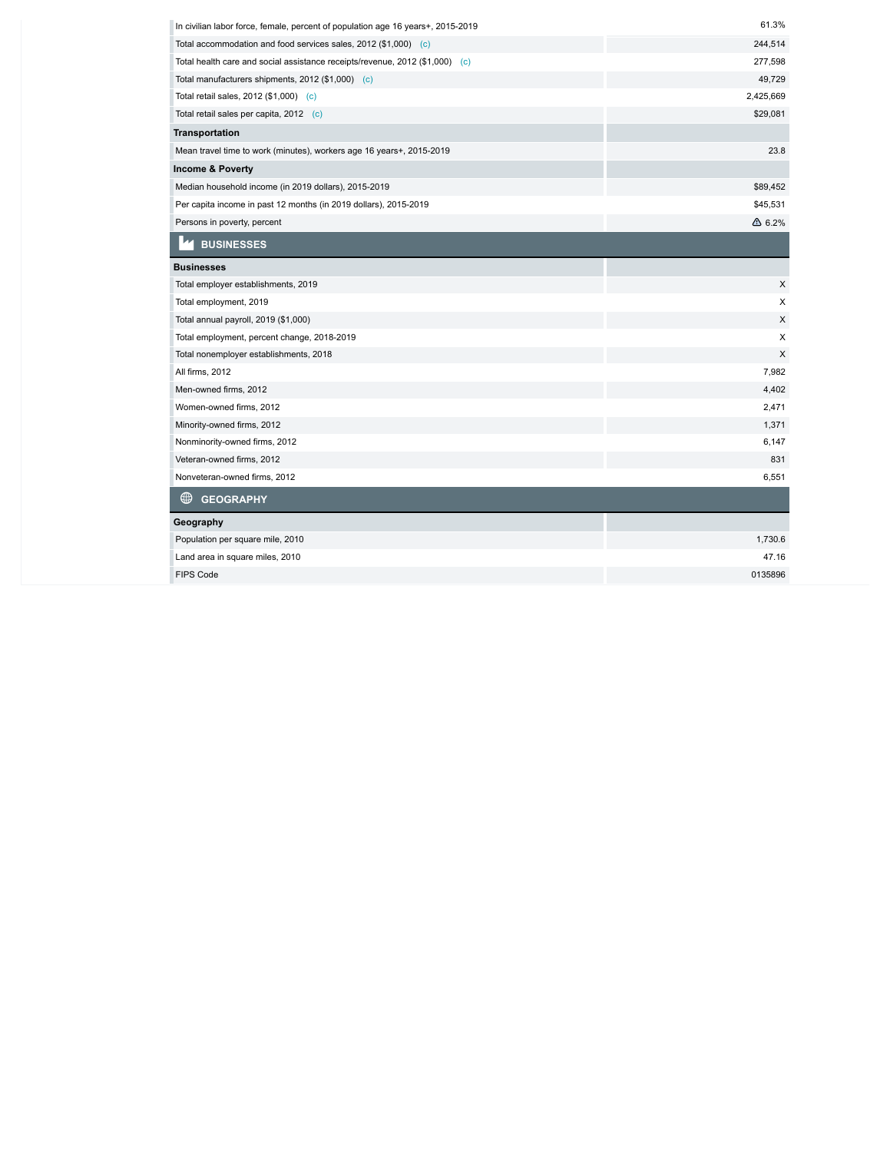| In civilian labor force, female, percent of population age 16 years+, 2015-2019 | 61.3%            |
|---------------------------------------------------------------------------------|------------------|
| Total accommodation and food services sales, 2012 (\$1,000) (c)                 | 244,514          |
| Total health care and social assistance receipts/revenue, 2012 (\$1,000) (c)    | 277,598          |
| Total manufacturers shipments, 2012 (\$1,000) (c)                               | 49,729           |
| Total retail sales, 2012 (\$1,000) (c)                                          | 2,425,669        |
| Total retail sales per capita, 2012 (c)                                         | \$29,081         |
| <b>Transportation</b>                                                           |                  |
| Mean travel time to work (minutes), workers age 16 years+, 2015-2019            | 23.8             |
| <b>Income &amp; Poverty</b>                                                     |                  |
| Median household income (in 2019 dollars), 2015-2019                            | \$89,452         |
| Per capita income in past 12 months (in 2019 dollars), 2015-2019                | \$45,531         |
| Persons in poverty, percent                                                     | $\triangle$ 6.2% |
| <b>BUSINESSES</b>                                                               |                  |
| <b>Businesses</b>                                                               |                  |
| Total employer establishments, 2019                                             | X                |
| Total employment, 2019                                                          | X                |
| Total annual payroll, 2019 (\$1,000)                                            | X                |
| Total employment, percent change, 2018-2019                                     | X                |
| Total nonemployer establishments, 2018                                          | X                |
| All firms, 2012                                                                 | 7,982            |
| Men-owned firms, 2012                                                           | 4,402            |
| Women-owned firms, 2012                                                         | 2,471            |
| Minority-owned firms, 2012                                                      | 1,371            |
| Nonminority-owned firms, 2012                                                   | 6,147            |
| Veteran-owned firms, 2012                                                       | 831              |
| Nonveteran-owned firms, 2012                                                    | 6,551            |
| ⊕<br><b>GEOGRAPHY</b>                                                           |                  |
| Geography                                                                       |                  |
| Population per square mile, 2010                                                | 1,730.6          |
| Land area in square miles, 2010                                                 | 47.16            |
| <b>FIPS Code</b>                                                                | 0135896          |